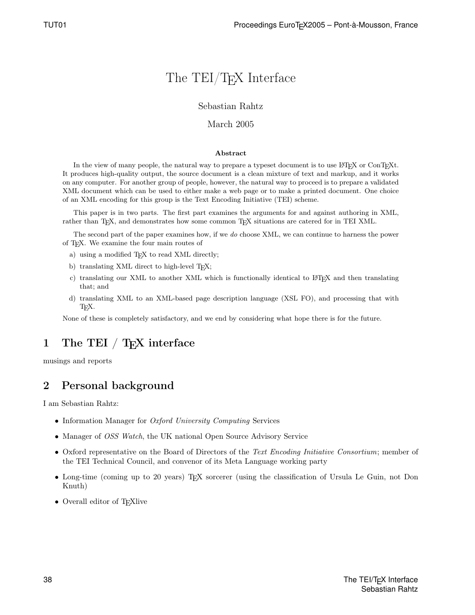# The TEI/TEX Interface

#### Sebastian Rahtz

#### March 2005

#### Abstract

In the view of many people, the natural way to prepare a typeset document is to use LATEX or ConTEXt. It produces high-quality output, the source document is a clean mixture of text and markup, and it works on any computer. For another group of people, however, the natural way to proceed is to prepare a validated XML document which can be used to either make a web page or to make a printed document. One choice of an XML encoding for this group is the Text Encoding Initiative (TEI) scheme.

This paper is in two parts. The first part examines the arguments for and against authoring in XML, rather than T<sub>E</sub>X, and demonstrates how some common T<sub>E</sub>X situations are catered for in TEI XML.

The second part of the paper examines how, if we do choose XML, we can continue to harness the power of TEX. We examine the four main routes of

- a) using a modified TEX to read XML directly;
- b) translating XML direct to high-level TFX;
- c) translating our XML to another XML which is functionally identical to L<sup>AT</sup>EX and then translating that; and
- d) translating XML to an XML-based page description language (XSL FO), and processing that with TEX.

None of these is completely satisfactory, and we end by considering what hope there is for the future.

# 1 The TEI / T<sub>F</sub>X interface

musings and reports

### 2 Personal background

I am Sebastian Rahtz:

- Information Manager for *Oxford University Computing* Services
- Manager of *OSS Watch*, the UK national Open Source Advisory Service
- Oxford representative on the Board of Directors of the Text Encoding Initiative Consortium; member of the TEI Technical Council, and convenor of its Meta Language working party
- Long-time (coming up to 20 years) TEX sorcerer (using the classification of Ursula Le Guin, not Don Knuth)
- Overall editor of TEXlive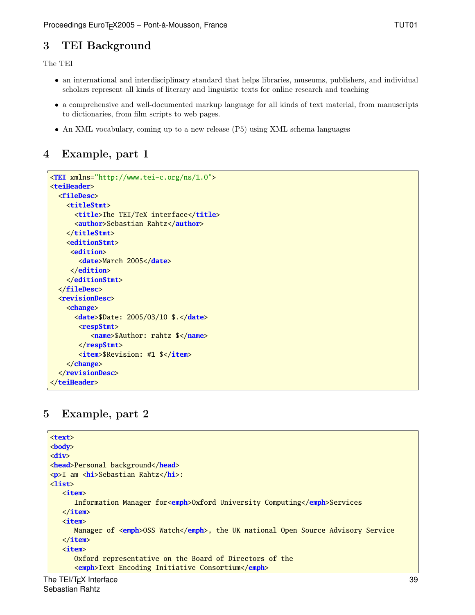### 3 TEI Background

The TEI

- an international and interdisciplinary standard that helps libraries, museums, publishers, and individual scholars represent all kinds of literary and linguistic texts for online research and teaching
- a comprehensive and well-documented markup language for all kinds of text material, from manuscripts to dictionaries, from film scripts to web pages.
- An XML vocabulary, coming up to a new release (P5) using XML schema languages

### 4 Example, part 1

```
<TEI xmlns="http://www.tei-c.org/ns/1.0">
<teiHeader>
  <fileDesc>
    <titleStmt>
      <title>The TEI/TeX interface</title>
      <author>Sebastian Rahtz</author>
    </titleStmt>
    <editionStmt>
     <edition>
       <date>March 2005</date>
     </edition>
    </editionStmt>
  </fileDesc>
  <revisionDesc>
    <change>
      <date>$Date: 2005/03/10 $.</date>
       <respStmt>
          <name>$Author: rahtz $</name>
       </respStmt>
       <item>$Revision: #1 $</item>
    </change>
  </revisionDesc>
</teiHeader>
```
### 5 Example, part 2

```
<text>
<body>
<div>
<head>Personal background</head>
<p>I am <hi>Sebastian Rahtz</hi>:
<list>
   <item>
      Information Manager for<emph>Oxford University Computing</emph>Services
   </item>
   <item>
      Manager of <emph>OSS Watch</emph>, the UK national Open Source Advisory Service
   </item>
   <item>
      Oxford representative on the Board of Directors of the
      <emph>Text Encoding Initiative Consortium</emph>
```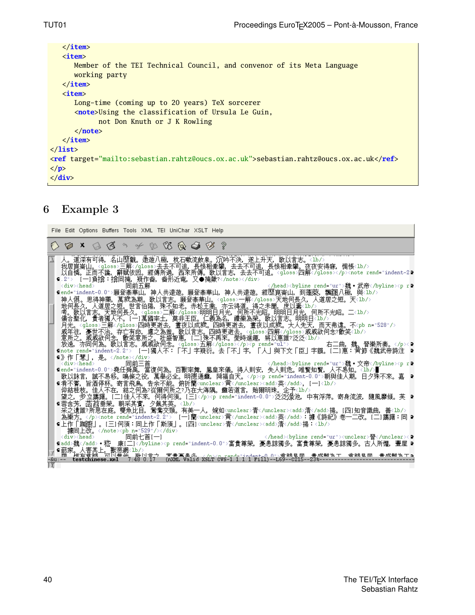```
</item>
   <item>
      Member of the TEI Technical Council, and convenor of its Meta Language
      working party
   </item>
   <item>
      Long-time (coming up to 20 years) TeX sorcerer
      <note>Using the classification of Ursula Le Guin,
            not Don Knuth or J K Rowling
      </note>
   </item>
</list>
<ref target="mailto:sebastian.rahtz@oucs.ox.ac.uk">sebastian.rahtz@oucs.ox.ac.uk</ref>
</p>
</div>
```
### 6 Example 3

| File Edit Options Buffers Tools XML TEI UniChar XSLT Help                                                                                                                                                                                                                                                                                                                                                                                                                                                                       |
|---------------------------------------------------------------------------------------------------------------------------------------------------------------------------------------------------------------------------------------------------------------------------------------------------------------------------------------------------------------------------------------------------------------------------------------------------------------------------------------------------------------------------------|
| <b>00x630+08648?</b>                                                                                                                                                                                                                                                                                                                                                                                                                                                                                                            |
| 人。道深有可得,名山歷觀。遨遊八極,枕石嗽流飲泉。沉吟不決,遂上升天,歌以言志。<1b/><br>我居崑崙山。〈gloss〉三解〈/gloss〉去去不可追,長恨相牽攀,去去不可追,長恨相牽攀。夜夜安得寐,惆悵〈lb/〉<br>以自憐。正而不譎,辭賦依因。經傳所過,西來所傳。歌以言志,去去不可追。〈gloss〉四解〈/gloss〉〈/p〉〈note_rend="indent-2♪<br>9.2"> [一]負揜:揜同掩,疑作畚,畚形近奄,又●掩歟?<br><br>>byline rend="ur">魏•武帝 <p r<br=""><math>\langle \texttt{div} \rangle \langle \texttt{head} \rangle</math><br/>同前五解</p>                                                                                                                                                                  |
| ⊆end="indent-0.0">願登泰華山,神人共遠遊。願登泰華山,神人共遠遊。經歷崑崙山,到蓬萊,飄颻八極,與 <lb></lb><br>神人俱。思得神藥,萬歲為期。歌以言志。願登泰華山。 <gloss>一解</gloss> 天地何長久,人道居之短。天 <lb></lb><br>地何長久,人道居之短。世言伯陽,殊不知老。赤松王喬,亦云得道。得之未聞,屈以壽(ià/〉 <sup>。)<br/>考</sup> 。歌以言志。天地何長久。(gloss)二解(/gloss)明明日月光,何所不光昭。明明日月光,何所不光昭。二<1b/>考。歌以言志。天地何長久。(gloss)二解(/gloss)明明日月光,何所不用。何所不光昭。二<1b/><br>月光。 <gloss>三解</gloss> 四時更逝去,晝夜以成歲。四時更逝去,晝夜以成歲。大人先天,而天弗違。不 <pb n="528"></pb>                                                                                                                 |
| [戚年往,憂世不治。存亡有命,慮之爲蚩。」朕以言志。四時更逝去。〈oloss〉四解〈/oloss〉戚戚欲何念?歡笑〈lb/〉<br>意所之。戚戚欲何念、散笑意所之。世盛智惠。[二]殊不再來。愛時進趣,將以惠誰?泛泛〈lb/〉<br>右二曲,魏、晉樂所奏。<∕p×♀<br>Gnote rend="indent-2.2"> [一]獨人不:「不」字疑衍。去「不」字,「人」與下文「臣」字韻。[二]惠:黄節《魏武帝詩注<br>¶》作「慧」,是。<br><byline rend="ur">魏•文帝</byline> <p 2<="" r="" td=""></p>                                                                                                                                                                                                                                         |
| (div> <head> ´ ̄ ̄ ̄ ̄ 同前三首                   </head> <byline_rend="ur">魏・文帝<br/> /send="indent-0_0"&gt;堯任舜禹, ,當復何為。百獸率舞, ,鳳皇來儀, ,得人則完, 失人則危。唯賢知賢, ,人不易知。&lt;<br/>「"indent-0_0"&gt;堯任舜禹, ,當復何為。百獸率舞, ,鳳皇來儀, ,得人則宗, 失人則危。唯賢知賢, ,心不易知。&lt;<br/>歌以詠言,誠不易移。鳴條之役,萬舉必全。明德通靈,降福自天。<p rend="indent-0.0">朝與佳人期,日夕殊不來。嘉 •<br>9肴不嘗,旨酒停杯。寄言飛鳥,告余不能。俯折蘭<wnclear>黄</wnclear><add>英</add>,[一]<lb></lb><br/>仰結桂枝。佳人不在,結之何為?從爾何所之?乃在大海隅。靈若道言,貽爾明珠。企予&lt;1b/&gt;<br/>望之,步立躊躇。[二]佳人不來,何得何須。[三]泛泛泳池,中有浮萍。寄身流波,隨風靡傾。芙 ▶️</br></p></byline_rend="ur"> |
| ⊆蓉含芳,菡萏垂榮。朝采其實,夕佩其英。 <lb></lb><br>采之遺誰?所思在庭。雙魚比目,鴛鴦交頸。有美一人,婉如 <wnclear>青</wnclear> <add>清</add> 揚。[四]知音識曲,善<は/<br>為樂方。 <note rend="indent-2.2"> [一]蘭<wnclear>黄</wnclear><add>英</add>:據《詩紀》卷一二改。[二]廣躇:同 D<br/>¶上作「踟躕」。[三]何須:同上作「斯須」。[四]<wnclear>青</wnclear><add>清</add>揚:<lb></lb>&lt;<br/>據同上改。</note> <pb n="529"></pb>                                                                                                                                                                                                        |
| 同前七首[一]<br><div><head><br/>- </head><br/>&gt;byline_rend="ur"&gt;<unclear>쯤</unclear>&lt;<br/>-&amp;u:--</div>                                                                                                                                                                                                                                                                                                                                                                                                                  |
|                                                                                                                                                                                                                                                                                                                                                                                                                                                                                                                                 |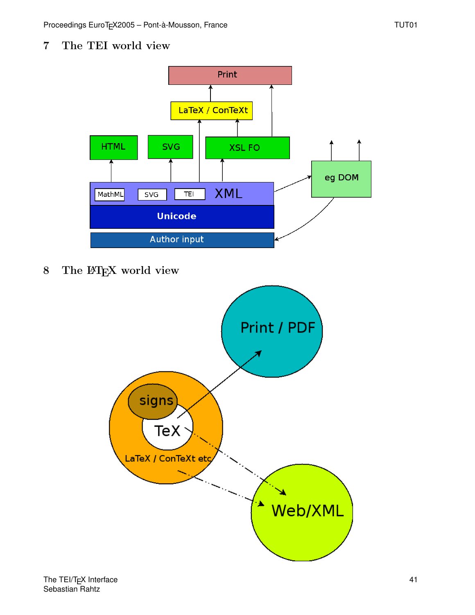7 The TEI world view



8 The L<sup>AT</sup>EX world view

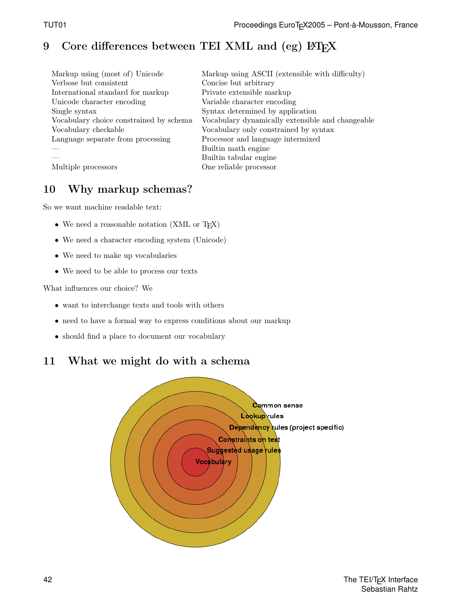# 9 Core differences between TEI XML and (eg)  $\mu$ T<sub>F</sub>X

| Markup using (most of) Unicode          | Markup using ASCII (extensible with difficulty)  |
|-----------------------------------------|--------------------------------------------------|
| Verbose but consistent                  | Concise but arbitrary                            |
| International standard for markup       | Private extensible markup                        |
| Unicode character encoding              | Variable character encoding                      |
| Single syntax                           | Syntax determined by application                 |
| Vocabulary choice constrained by schema | Vocabulary dynamically extensible and changeable |
| Vocabulary checkable                    | Vocabulary only constrained by syntax            |
| Language separate from processing       | Processor and language intermixed                |
|                                         | Builtin math engine                              |
|                                         | Builtin tabular engine                           |
| Multiple processors                     | One reliable processor                           |

## 10 Why markup schemas?

So we want machine readable text:

- We need a reasonable notation (XML or T<sub>E</sub>X)
- We need a character encoding system (Unicode)
- We need to make up vocabularies
- We need to be able to process our texts

What influences our choice? We

- want to interchange texts and tools with others
- need to have a formal way to express conditions about our markup
- should find a place to document our vocabulary

### 11 What we might do with a schema

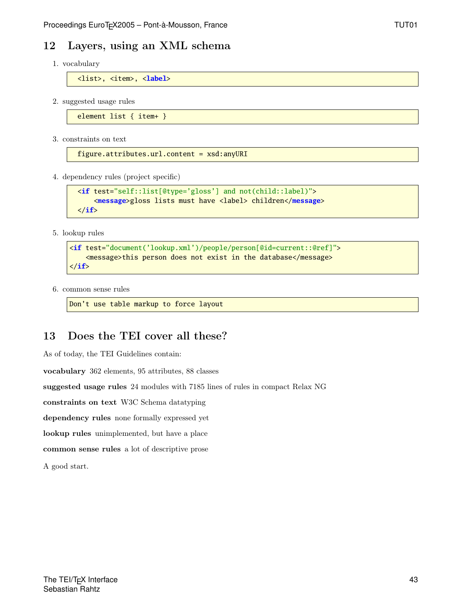#### 12 Layers, using an XML schema

1. vocabulary

<list>, <item>, <**label**>

2. suggested usage rules

element list { item+ }

3. constraints on text

figure.attributes.url.content = xsd:anyURI

4. dependency rules (project specific)

```
<if test="self::list[@type='gloss'] and not(child::label)">
    <message>gloss lists must have <label> children</message>
</if>
```
5. lookup rules

```
<if test="document('lookup.xml')/people/person[@id=current::@ref]">
   <message>this person does not exist in the database</message>
</if>
```
6. common sense rules

Don't use table markup to force layout

#### 13 Does the TEI cover all these?

As of today, the TEI Guidelines contain:

vocabulary 362 elements, 95 attributes, 88 classes

suggested usage rules 24 modules with 7185 lines of rules in compact Relax NG

constraints on text W3C Schema datatyping

dependency rules none formally expressed yet

lookup rules unimplemented, but have a place

common sense rules a lot of descriptive prose

A good start.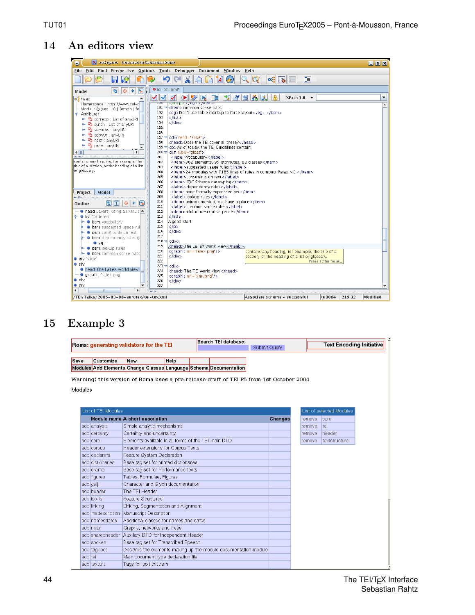## 14 An editors view



### 15 Example 3

|                                                                                        | Search TEI database:<br><b>Text Encoding Initiative</b><br>Roma: generating validators for the TEI |                                                                   |             |  |  |              |         |  |                          |               |  |
|----------------------------------------------------------------------------------------|----------------------------------------------------------------------------------------------------|-------------------------------------------------------------------|-------------|--|--|--------------|---------|--|--------------------------|---------------|--|
|                                                                                        |                                                                                                    |                                                                   |             |  |  | Submit Query |         |  |                          |               |  |
|                                                                                        |                                                                                                    |                                                                   |             |  |  |              |         |  |                          |               |  |
| Save                                                                                   | Customize                                                                                          | New                                                               | <b>Help</b> |  |  |              |         |  |                          |               |  |
|                                                                                        |                                                                                                    | Modules Add Elements Change Classes Language Schema Documentation |             |  |  |              |         |  |                          |               |  |
| Warning! this version of Roma uses a pre-release draft of TEI P5 from 1st October 2004 |                                                                                                    |                                                                   |             |  |  |              |         |  |                          |               |  |
| Modules                                                                                |                                                                                                    |                                                                   |             |  |  |              |         |  |                          |               |  |
|                                                                                        |                                                                                                    |                                                                   |             |  |  |              |         |  |                          |               |  |
|                                                                                        |                                                                                                    |                                                                   |             |  |  |              |         |  |                          |               |  |
| List of TEI Modules                                                                    |                                                                                                    |                                                                   |             |  |  |              |         |  | List of selected Modules |               |  |
|                                                                                        |                                                                                                    | Module name A short description                                   |             |  |  |              | Changes |  | remove                   | core          |  |
|                                                                                        | add analysis                                                                                       | Simple analytic mechanisms                                        |             |  |  |              |         |  | remove                   | tei           |  |
|                                                                                        | add certainty                                                                                      | Certainty and uncertainty                                         |             |  |  |              |         |  | remove                   | header        |  |
|                                                                                        | add core                                                                                           | Elements available in all forms of the TEI main DTD               |             |  |  |              |         |  | remove                   | textstructure |  |
|                                                                                        | add corpus                                                                                         | Header extensions for Corpus Texts                                |             |  |  |              |         |  |                          |               |  |
|                                                                                        | add declarefs                                                                                      | Feature System Declaration                                        |             |  |  |              |         |  |                          |               |  |
|                                                                                        | add dictionaries                                                                                   | Base tag set for printed dictionaries                             |             |  |  |              |         |  |                          |               |  |
|                                                                                        | add drama                                                                                          | Base tag set for Performance texts                                |             |  |  |              |         |  |                          |               |  |
|                                                                                        | add figures                                                                                        | Tables, Formulae, Figures                                         |             |  |  |              |         |  |                          |               |  |
|                                                                                        | add gaiji                                                                                          | Character and Glyph documentation                                 |             |  |  |              |         |  |                          |               |  |
|                                                                                        | add header                                                                                         | The TFI Header                                                    |             |  |  |              |         |  |                          |               |  |
|                                                                                        | add iso-fs                                                                                         | Feature Structures                                                |             |  |  |              |         |  |                          |               |  |
|                                                                                        | add linking                                                                                        | Linking, Segmentation and Alignment                               |             |  |  |              |         |  |                          |               |  |
|                                                                                        | add msdescription                                                                                  | Manuscript Description                                            |             |  |  |              |         |  |                          |               |  |
|                                                                                        | addinamesdates                                                                                     | Additional classes for names and dates                            |             |  |  |              |         |  |                          |               |  |
|                                                                                        | addinets                                                                                           | Graphs, networks and trees                                        |             |  |  |              |         |  |                          |               |  |
|                                                                                        |                                                                                                    | add sharedheader Auxiliary DTD for Independent Header             |             |  |  |              |         |  |                          |               |  |
|                                                                                        | add spoken                                                                                         | Base tag set for Transcribed Speech                               |             |  |  |              |         |  |                          |               |  |
|                                                                                        | add tagdocs                                                                                        | Declares the elements making up the module documentation module   |             |  |  |              |         |  |                          |               |  |
| add tei                                                                                |                                                                                                    | Main document type declaration file                               |             |  |  |              |         |  |                          |               |  |
|                                                                                        | add textcrit                                                                                       | Tags for text criticism                                           |             |  |  |              |         |  |                          |               |  |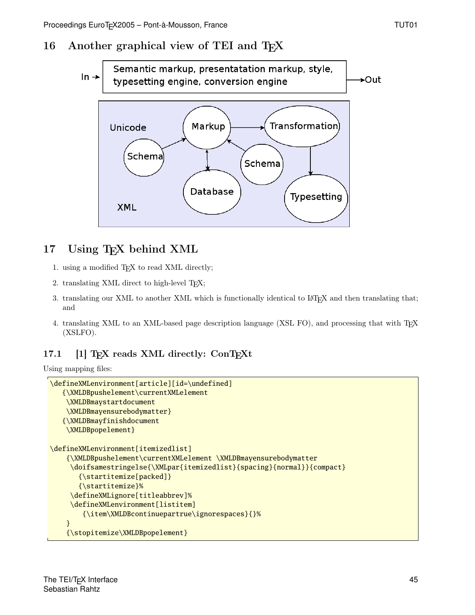## 16 Another graphical view of TEI and T<sub>E</sub>X



# 17 Using T<sub>E</sub>X behind XML

- 1. using a modified T<sub>F</sub>X to read XML directly;
- 2. translating XML direct to high-level T<sub>E</sub>X;
- 3. translating our XML to another XML which is functionally identical to L<sup>AT</sup>EX and then translating that; and
- 4. translating XML to an XML-based page description language (XSL FO), and processing that with T<sub>E</sub>X (XSLFO).

### 17.1 [1] TEX reads XML directly: ConTEXt

Using mapping files:

```
\defineXMLenvironment[article][id=\undefined]
   {\XMLDBpushelement\currentXMLelement
    \XMLDBmaystartdocument
    \XMLDBmayensurebodymatter}
   {\XMLDBmayfinishdocument
    \XMLDBpopelement}
\defineXMLenvironment[itemizedlist]
    {\XMLDBpushelement\currentXMLelement \XMLDBmayensurebodymatter
     \doifsamestringelse{\XMLpar{itemizedlist}{spacing}{normal}}{compact}
       {\startitemize[packed]}
       {\startitemize}%
     \defineXMLignore[titleabbrev]%
     \defineXMLenvironment[listitem]
        {\item\XMLDBcontinuepartrue\ignorespaces}{}%
    }
    {\stopitemize\XMLDBpopelement}
```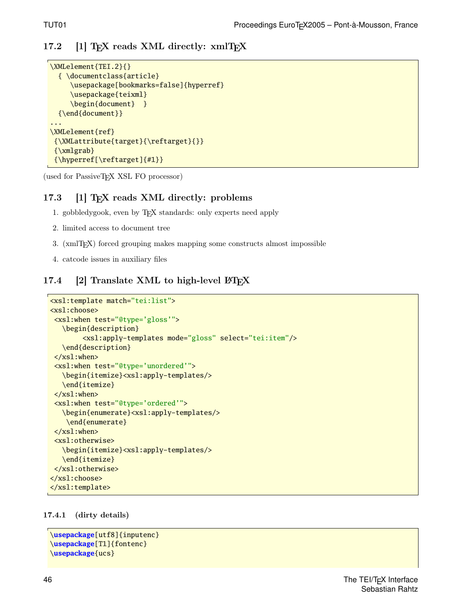#### 17.2 [1] TEX reads XML directly:  $xmITEX$

```
\XMLelement{TEI.2}{}
  { \documentclass{article}
     \usepackage[bookmarks=false]{hyperref}
     \usepackage{teixml}
     \begin{document} }
  {\end{document}}
...
\XMLelement{ref}
 {\XMLattribute{target}{\reftarget}{}}
 {\xmlgrab}
 {\hyperref[\reftarget]{#1}}
```
(used for PassiveTEX XSL FO processor)

#### 17.3 [1] T<sub>F</sub>X reads XML directly: problems

- 1. gobbledygook, even by TEX standards: only experts need apply
- 2. limited access to document tree
- 3. (xmlTEX) forced grouping makes mapping some constructs almost impossible
- 4. catcode issues in auxiliary files

#### 17.4 [2] Translate XML to high-level  $\rm \mathbb{F}T_{E}X$

```
<xsl:template match="tei:list">
<xsl:choose>
 <xsl:when test="@type='gloss'">
   \begin{description}
        <xsl:apply-templates mode="gloss" select="tei:item"/>
   \end{description}
 \langle xs1:when\rangle<xsl:when test="@type='unordered'">
   \begin{itemize}<xsl:apply-templates/>
   \end{itemize}
 \langle xs1:when\rangle<xsl:when test="@type='ordered'">
   \begin{enumerate}<xsl:apply-templates/>
    \end{enumerate}
 </xsl:when>
 <xsl:otherwise>
   \begin{itemize}<xsl:apply-templates/>
   \end{itemize}
 </xsl:otherwise>
</xsl:choose>
</xsl:template>
```
17.4.1 (dirty details)

```
\usepackage[utf8]{inputenc}
\usepackage[T1]{fontenc}
\usepackage{ucs}
```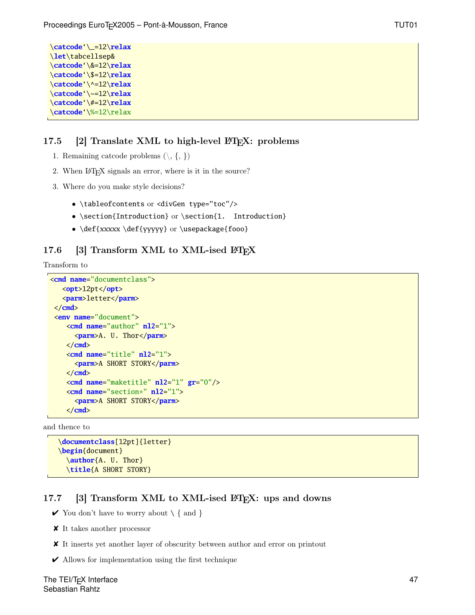```
\catcode'\_=12\relax
\let\tabcellsep&
\catcode'\&=12\relax
\catcode'\$=12\relax
\catcode'\^=12\relax
\catcode'\~=12\relax
\catcode'\#=12\relax
\catcode'\%=12\relax
```
#### 17.5 [2] Translate XML to high-level  $\cancel{B}$ FFX: problems

- 1. Remaining catcode problems  $(\mathcal{S}, \{,\})$
- 2. When LAT<sub>E</sub>X signals an error, where is it in the source?
- 3. Where do you make style decisions?
	- \tableofcontents or <divGen type="toc"/>
	- \section{Introduction} or \section{1. Introduction}
	- \def{xxxxx \def{yyyyy} or \usepackage{fooo}

#### 17.6 [3] Transform XML to XML-ised  $\rm \mathbb{F}F_{X}$

Transform to

```
<cmd name="documentclass">
   <opt>12pt</opt>
   <parm>letter</parm>
 </cmd>
 <env name="document">
    <cmd name="author" nl2="1">
      <parm>A. U. Thor</parm>
    </cmd>
    <cmd name="title" nl2="1">
      <parm>A SHORT STORY</parm>
    </cmd>
    <cmd name="maketitle" nl2="1" gr="0"/>
    <cmd name="section*" nl2="1">
      <parm>A SHORT STORY</parm>
    </cmd>
```
and thence to

```
\documentclass[12pt]{letter}
\begin{document}
 \author{A. U. Thor}
 \title{A SHORT STORY}
```
#### 17.7 [3] Transform XML to XML-ised LAT<sub>EX</sub>: ups and downs

- $\checkmark$  You don't have to worry about  $\setminus \{$  and  $\}$
- $\pmb{\times}$  It takes another processor
- ✘ It inserts yet another layer of obscurity between author and error on printout
- $\blacktriangleright$  Allows for implementation using the first technique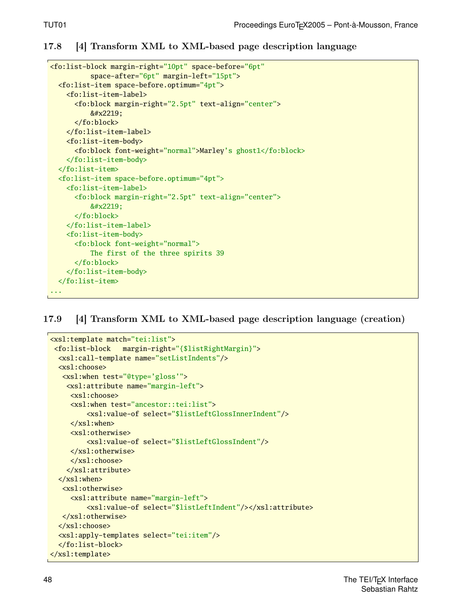#### 17.8 [4] Transform XML to XML-based page description language

```
<fo:list-block margin-right="10pt" space-before="6pt"
          space-after="6pt" margin-left="15pt">
  <fo:list-item space-before.optimum="4pt">
    <fo:list-item-label>
      <fo:block margin-right="2.5pt" text-align="center">
          ∙
      </fo:block>
    </fo:list-item-label>
    <fo:list-item-body>
      <fo:block font-weight="normal">Marley's ghost1</fo:block>
    </fo:list-item-body>
  </fo:list-item>
  <fo:list-item space-before.optimum="4pt">
    <fo:list-item-label>
      <fo:block margin-right="2.5pt" text-align="center">
          &#x2219:
      </fo:block>
    </fo:list-item-label>
    <fo:list-item-body>
      <fo:block font-weight="normal">
          The first of the three spirits 39
      </fo:block>
    </fo:list-item-body>
  </fo:list-item>
...
```
17.9 [4] Transform XML to XML-based page description language (creation)

```
<xsl:template match="tei:list">
 <fo:list-block margin-right="{$listRightMargin}">
  <xsl:call-template name="setListIndents"/>
  <xsl:choose>
   <xsl:when test="@type='gloss'">
    <xsl:attribute name="margin-left">
     <xsl:choose>
     <xsl:when test="ancestor::tei:list">
         <xsl:value-of select="$listLeftGlossInnerIndent"/>
     </xsl:when>
     <xsl:otherwise>
         <xsl:value-of select="$listLeftGlossIndent"/>
     </xsl:otherwise>
     </xsl:choose>
    </xsl:attribute>
  </xsl:when>
   <xsl:otherwise>
     <xsl:attribute name="margin-left">
         <xsl:value-of select="$listLeftIndent"/></xsl:attribute>
   </xsl:otherwise>
  </xsl:choose>
  <xsl:apply-templates select="tei:item"/>
  </fo:list-block>
</xsl:template>
```